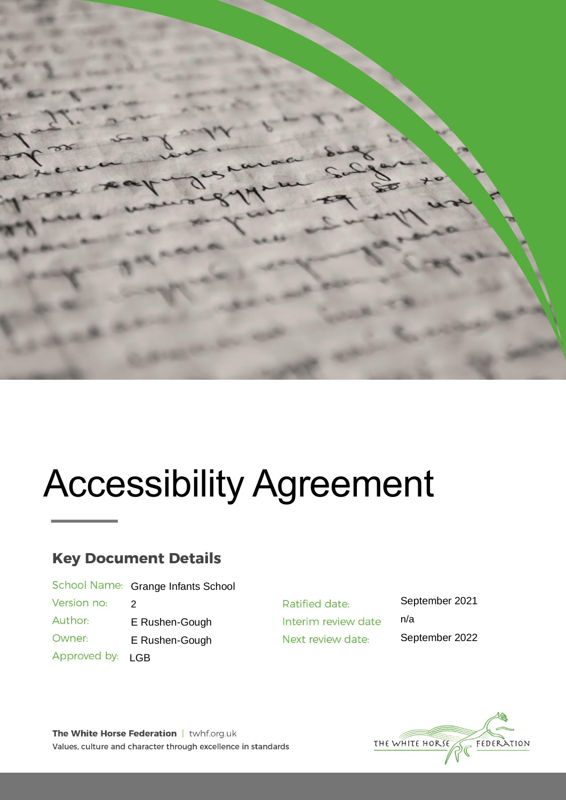

# Accessibility Agreement

# **Key Document Details**

School Name: Grange Infants School Version no: 2 Author: E Rushen-Gough Owner:

E Rushen-Gough Approved by: LGB

Ratified date: Interim review date Next review date:

September 2021 n/a September 2022

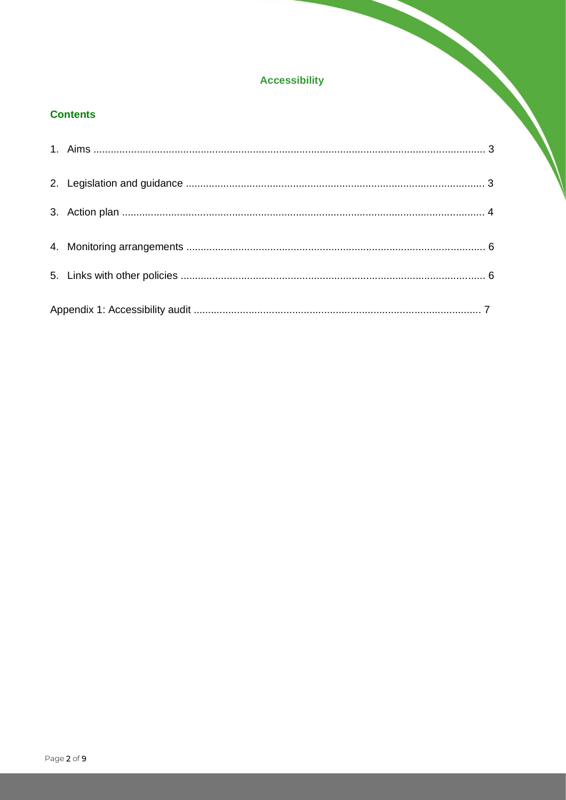# **Accessibility**

## **Contents**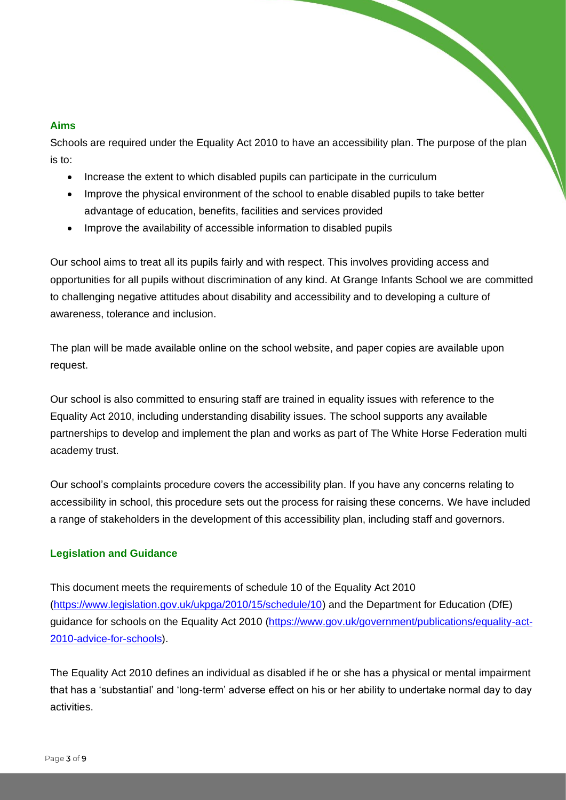#### **Aims**

Schools are required under the Equality Act 2010 to have an accessibility plan. The purpose of the plan is to:

- Increase the extent to which disabled pupils can participate in the curriculum
- Improve the physical environment of the school to enable disabled pupils to take better advantage of education, benefits, facilities and services provided
- Improve the availability of accessible information to disabled pupils

Our school aims to treat all its pupils fairly and with respect. This involves providing access and opportunities for all pupils without discrimination of any kind. At Grange Infants School we are committed to challenging negative attitudes about disability and accessibility and to developing a culture of awareness, tolerance and inclusion.

The plan will be made available online on the school website, and paper copies are available upon request.

Our school is also committed to ensuring staff are trained in equality issues with reference to the Equality Act 2010, including understanding disability issues. The school supports any available partnerships to develop and implement the plan and works as part of The White Horse Federation multi academy trust.

Our school's complaints procedure covers the accessibility plan. If you have any concerns relating to accessibility in school, this procedure sets out the process for raising these concerns. We have included a range of stakeholders in the development of this accessibility plan, including staff and governors.

#### **Legislation and Guidance**

This document meets the requirements of schedule 10 of the Equality Act 2010 [\(https://www.legislation.gov.uk/ukpga/2010/15/schedule/10\)](https://www.legislation.gov.uk/ukpga/2010/15/schedule/10) and the Department for Education (DfE) guidance for schools on the Equality Act 2010 [\(https://www.gov.uk/government/publications/equality-act-](https://www.gov.uk/government/publications/equality-act-2010-advice-for-schools)[2010-advice-for-schools\)](https://www.gov.uk/government/publications/equality-act-2010-advice-for-schools).

The Equality Act 2010 defines an individual as disabled if he or she has a physical or mental impairment that has a 'substantial' and 'long-term' adverse effect on his or her ability to undertake normal day to day activities.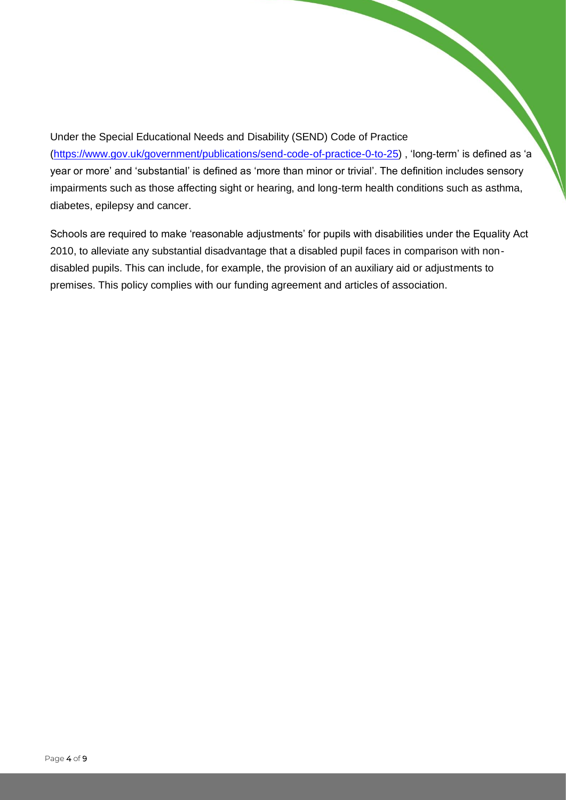Under the Special Educational Needs and Disability (SEND) Code of Practice [\(https://www.gov.uk/government/publications/send-code-of-practice-0-to-25\)](https://www.gov.uk/government/publications/send-code-of-practice-0-to-25) , 'long-term' is defined as 'a year or more' and 'substantial' is defined as 'more than minor or trivial'. The definition includes sensory impairments such as those affecting sight or hearing, and long-term health conditions such as asthma, diabetes, epilepsy and cancer.

Schools are required to make 'reasonable adjustments' for pupils with disabilities under the Equality Act 2010, to alleviate any substantial disadvantage that a disabled pupil faces in comparison with nondisabled pupils. This can include, for example, the provision of an auxiliary aid or adjustments to premises. This policy complies with our funding agreement and articles of association.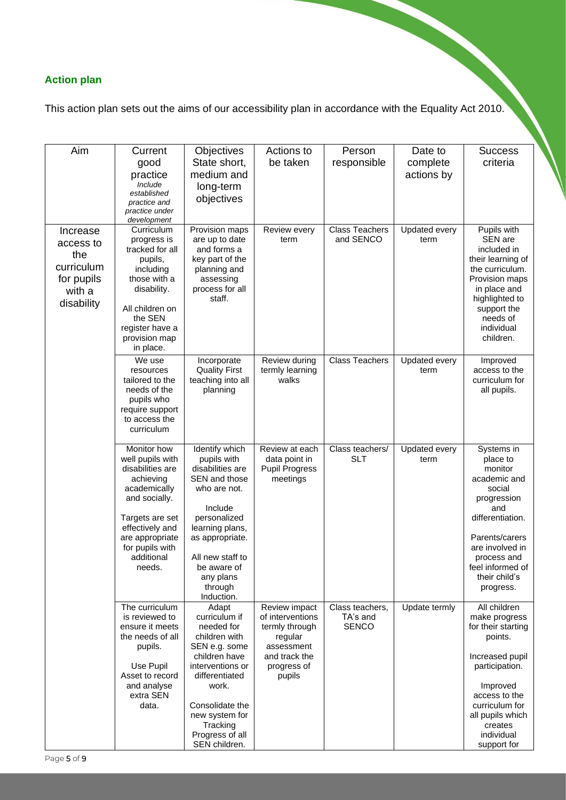# **Action plan**

This action plan sets out the aims of our accessibility plan in accordance with the Equality Act 2010.

| Aim                  | Current                              | Objectives                          | Actions to                             | Person                      | Date to                      | <b>Success</b>                    |
|----------------------|--------------------------------------|-------------------------------------|----------------------------------------|-----------------------------|------------------------------|-----------------------------------|
|                      | good                                 | State short,                        | be taken                               | responsible                 | complete                     | criteria                          |
|                      | practice                             | medium and                          |                                        |                             | actions by                   |                                   |
|                      | Include<br>established               | long-term                           |                                        |                             |                              |                                   |
|                      | practice and                         | objectives                          |                                        |                             |                              |                                   |
|                      | practice under<br>development        |                                     |                                        |                             |                              |                                   |
| Increase             | Curriculum                           | Provision maps                      | Review every                           | <b>Class Teachers</b>       | Updated every                | Pupils with                       |
| access to            | progress is<br>tracked for all       | are up to date<br>and forms a       | term                                   | and SENCO                   | term                         | SEN are<br>included in            |
| the                  | pupils,                              | key part of the                     |                                        |                             |                              | their learning of                 |
| curriculum           | including                            | planning and                        |                                        |                             |                              | the curriculum.                   |
| for pupils<br>with a | those with a<br>disability.          | assessing<br>process for all        |                                        |                             |                              | Provision maps<br>in place and    |
| disability           |                                      | staff.                              |                                        |                             |                              | highlighted to                    |
|                      | All children on<br>the SEN           |                                     |                                        |                             |                              | support the<br>needs of           |
|                      | register have a                      |                                     |                                        |                             |                              | individual                        |
|                      | provision map                        |                                     |                                        |                             |                              | children.                         |
|                      | in place.                            |                                     |                                        |                             |                              |                                   |
|                      | We use<br>resources                  | Incorporate<br><b>Quality First</b> | Review during<br>termly learning       | <b>Class Teachers</b>       | <b>Updated every</b><br>term | Improved<br>access to the         |
|                      | tailored to the                      | teaching into all                   | walks                                  |                             |                              | curriculum for                    |
|                      | needs of the<br>pupils who           | planning                            |                                        |                             |                              | all pupils.                       |
|                      | require support                      |                                     |                                        |                             |                              |                                   |
|                      | to access the                        |                                     |                                        |                             |                              |                                   |
|                      | curriculum                           |                                     |                                        |                             |                              |                                   |
|                      | Monitor how                          | Identify which                      | Review at each                         | Class teachers/             | Updated every                | Systems in                        |
|                      | well pupils with<br>disabilities are | pupils with<br>disabilities are     | data point in<br><b>Pupil Progress</b> | <b>SLT</b>                  | term                         | place to<br>monitor               |
|                      | achieving                            | SEN and those                       | meetings                               |                             |                              | academic and                      |
|                      | academically                         | who are not.                        |                                        |                             |                              | social                            |
|                      | and socially.                        | Include                             |                                        |                             |                              | progression<br>and                |
|                      | Targets are set                      | personalized                        |                                        |                             |                              | differentiation.                  |
|                      | effectively and<br>are appropriate   | learning plans,<br>as appropriate.  |                                        |                             |                              | Parents/carers                    |
|                      | for pupils with                      |                                     |                                        |                             |                              | are involved in                   |
|                      | additional                           | All new staff to                    |                                        |                             |                              | process and                       |
|                      | needs.                               | be aware of<br>any plans            |                                        |                             |                              | feel informed of<br>their child's |
|                      |                                      | through                             |                                        |                             |                              | progress.                         |
|                      |                                      | Induction.                          |                                        |                             |                              | All children                      |
|                      | The curriculum<br>is reviewed to     | Adapt<br>curriculum if              | Review impact<br>of interventions      | Class teachers,<br>TA's and | Update termly                | make progress                     |
|                      | ensure it meets                      | needed for                          | termly through                         | <b>SENCO</b>                |                              | for their starting                |
|                      | the needs of all<br>pupils.          | children with<br>SEN e.g. some      | regular<br>assessment                  |                             |                              | points.                           |
|                      |                                      | children have                       | and track the                          |                             |                              | Increased pupil                   |
|                      | Use Pupil                            | interventions or                    | progress of                            |                             |                              | participation.                    |
|                      | Asset to record<br>and analyse       | differentiated<br>work.             | pupils                                 |                             |                              | Improved                          |
|                      | extra SEN                            |                                     |                                        |                             |                              | access to the                     |
|                      | data.                                | Consolidate the                     |                                        |                             |                              | curriculum for                    |
|                      |                                      | new system for<br>Tracking          |                                        |                             |                              | all pupils which<br>creates       |
|                      |                                      | Progress of all                     |                                        |                             |                              | individual                        |
|                      |                                      | SEN children.                       |                                        |                             |                              | support for                       |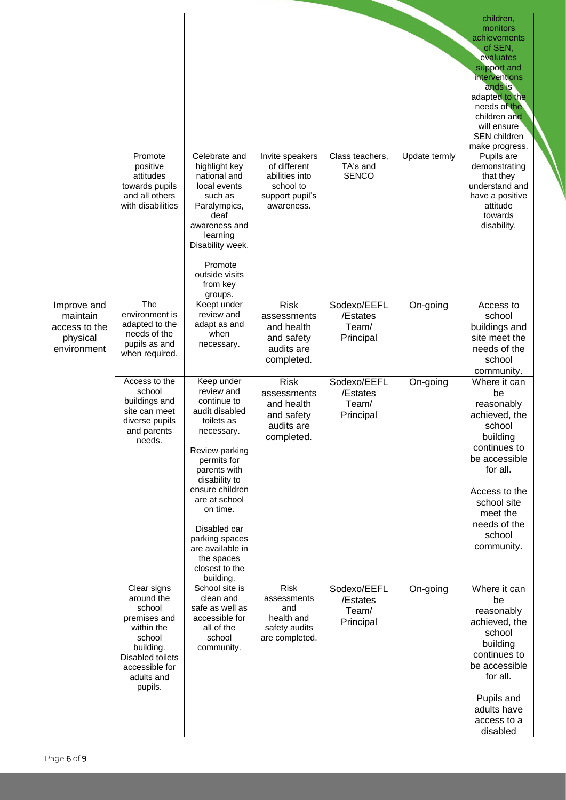|                                                                     |                                                                                                                                                         |                                                                                                                                                                                                                                                                                                            |                                                                                                 |                                               |               | children,<br>monitors<br>achievements<br>of SEN,<br>evaluates<br>support and<br>interventions<br>ands is<br>adapted to the<br>needs of the<br>children and<br>will ensure<br>SEN children<br>make progress.            |
|---------------------------------------------------------------------|---------------------------------------------------------------------------------------------------------------------------------------------------------|------------------------------------------------------------------------------------------------------------------------------------------------------------------------------------------------------------------------------------------------------------------------------------------------------------|-------------------------------------------------------------------------------------------------|-----------------------------------------------|---------------|------------------------------------------------------------------------------------------------------------------------------------------------------------------------------------------------------------------------|
|                                                                     | Promote<br>positive<br>attitudes<br>towards pupils<br>and all others<br>with disabilities                                                               | Celebrate and<br>highlight key<br>national and<br>local events<br>such as<br>Paralympics,<br>deaf<br>awareness and<br>learning<br>Disability week.<br>Promote<br>outside visits<br>from key<br>groups.                                                                                                     | Invite speakers<br>of different<br>abilities into<br>school to<br>support pupil's<br>awareness. | Class teachers,<br>TA's and<br><b>SENCO</b>   | Update termly | Pupils are<br>demonstrating<br>that they<br>understand and<br>have a positive<br>attitude<br>towards<br>disability.                                                                                                    |
| Improve and<br>maintain<br>access to the<br>physical<br>environment | The<br>environment is<br>adapted to the<br>needs of the<br>pupils as and<br>when required.                                                              | Keept under<br>review and<br>adapt as and<br>when<br>necessary.                                                                                                                                                                                                                                            | <b>Risk</b><br>assessments<br>and health<br>and safety<br>audits are<br>completed.              | Sodexo/EEFL<br>/Estates<br>Team/<br>Principal | On-going      | Access to<br>school<br>buildings and<br>site meet the<br>needs of the<br>school                                                                                                                                        |
|                                                                     | Access to the<br>school<br>buildings and<br>site can meet<br>diverse pupils<br>and parents<br>needs.                                                    | Keep under<br>review and<br>continue to<br>audit disabled<br>toilets as<br>necessary.<br>Review parking<br>permits for<br>parents with<br>disability to<br>ensure children<br>are at school<br>on time.<br>Disabled car<br>parking spaces<br>are available in<br>the spaces<br>closest to the<br>building. | <b>Risk</b><br>assessments<br>and health<br>and safety<br>audits are<br>completed.              | Sodexo/EEFL<br>/Estates<br>Team/<br>Principal | On-going      | community.<br>Where it can<br>be<br>reasonably<br>achieved, the<br>school<br>building<br>continues to<br>be accessible<br>for all.<br>Access to the<br>school site<br>meet the<br>needs of the<br>school<br>community. |
|                                                                     | Clear signs<br>around the<br>school<br>premises and<br>within the<br>school<br>building.<br>Disabled toilets<br>accessible for<br>adults and<br>pupils. | School site is<br>clean and<br>safe as well as<br>accessible for<br>all of the<br>school<br>community.                                                                                                                                                                                                     | <b>Risk</b><br>assessments<br>and<br>health and<br>safety audits<br>are completed.              | Sodexo/EEFL<br>/Estates<br>Team/<br>Principal | On-going      | Where it can<br>be<br>reasonably<br>achieved, the<br>school<br>building<br>continues to<br>be accessible<br>for all.<br>Pupils and<br>adults have<br>access to a<br>disabled                                           |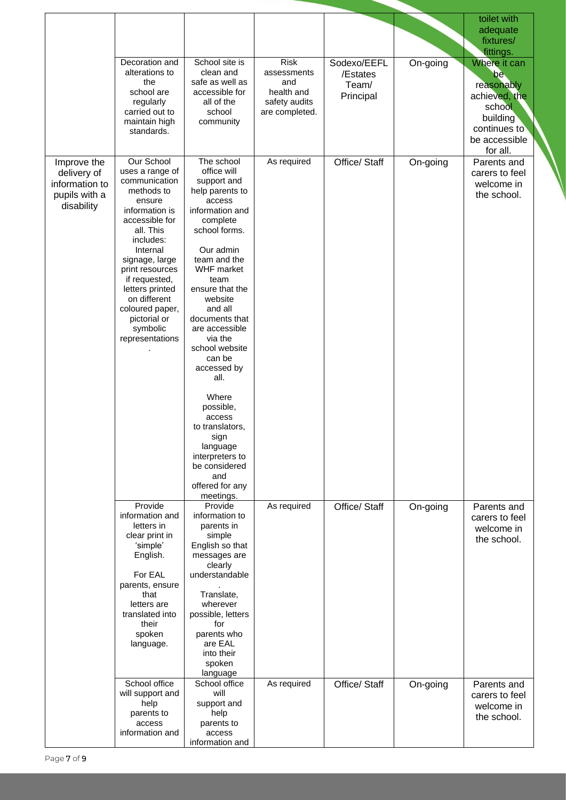|                                                                             |                                                                                                                                                                                                                                                                                                             |                                                                                                                                                                                                                                                                                                                                                                                                                                                                              |                                                                                    |                                               |          | toilet with<br>adequate<br>fixtures/<br>fittings.                                                                     |
|-----------------------------------------------------------------------------|-------------------------------------------------------------------------------------------------------------------------------------------------------------------------------------------------------------------------------------------------------------------------------------------------------------|------------------------------------------------------------------------------------------------------------------------------------------------------------------------------------------------------------------------------------------------------------------------------------------------------------------------------------------------------------------------------------------------------------------------------------------------------------------------------|------------------------------------------------------------------------------------|-----------------------------------------------|----------|-----------------------------------------------------------------------------------------------------------------------|
|                                                                             | Decoration and<br>alterations to<br>the<br>school are<br>regularly<br>carried out to<br>maintain high<br>standards.                                                                                                                                                                                         | School site is<br>clean and<br>safe as well as<br>accessible for<br>all of the<br>school<br>community                                                                                                                                                                                                                                                                                                                                                                        | <b>Risk</b><br>assessments<br>and<br>health and<br>safety audits<br>are completed. | Sodexo/EEFL<br>/Estates<br>Team/<br>Principal | On-going | Where it can<br>be.<br>reasonably<br>achieved, the<br>school<br>building<br>continues to<br>be accessible<br>for all. |
| Improve the<br>delivery of<br>information to<br>pupils with a<br>disability | Our School<br>uses a range of<br>communication<br>methods to<br>ensure<br>information is<br>accessible for<br>all. This<br>includes:<br>Internal<br>signage, large<br>print resources<br>if requested,<br>letters printed<br>on different<br>coloured paper,<br>pictorial or<br>symbolic<br>representations | The school<br>office will<br>support and<br>help parents to<br>access<br>information and<br>complete<br>school forms.<br>Our admin<br>team and the<br><b>WHF</b> market<br>team<br>ensure that the<br>website<br>and all<br>documents that<br>are accessible<br>via the<br>school website<br>can be<br>accessed by<br>all.<br>Where<br>possible,<br>access<br>to translators,<br>sign<br>language<br>interpreters to<br>be considered<br>and<br>offered for any<br>meetings. | As required                                                                        | Office/ Staff                                 | On-going | Parents and<br>carers to feel<br>welcome in<br>the school.                                                            |
|                                                                             | Provide<br>information and<br>letters in<br>clear print in<br>'simple'<br>English.<br>For EAL<br>parents, ensure<br>that<br>letters are<br>translated into<br>their<br>spoken<br>language.                                                                                                                  | Provide<br>information to<br>parents in<br>simple<br>English so that<br>messages are<br>clearly<br>understandable<br>Translate,<br>wherever<br>possible, letters<br>for<br>parents who<br>are EAL<br>into their<br>spoken<br>language                                                                                                                                                                                                                                        | As required                                                                        | Office/ Staff                                 | On-going | Parents and<br>carers to feel<br>welcome in<br>the school.                                                            |
|                                                                             | School office<br>will support and<br>help<br>parents to<br>access<br>information and                                                                                                                                                                                                                        | School office<br>will<br>support and<br>help<br>parents to<br>access<br>information and                                                                                                                                                                                                                                                                                                                                                                                      | As required                                                                        | Office/ Staff                                 | On-going | Parents and<br>carers to feel<br>welcome in<br>the school.                                                            |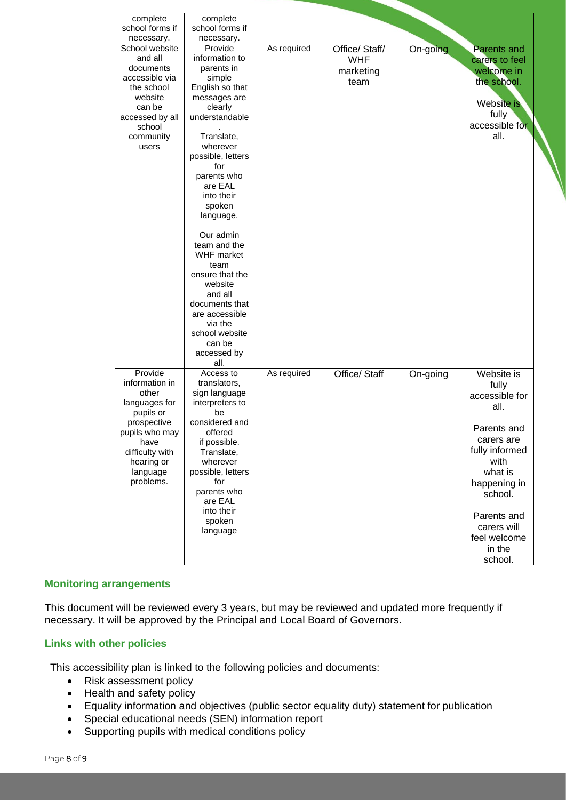| complete        | complete               |             |                |          |                |
|-----------------|------------------------|-------------|----------------|----------|----------------|
| school forms if | school forms if        |             |                |          |                |
| necessary.      | necessary.             |             |                |          |                |
| School website  | Provide                | As required | Office/ Staff/ | On-going | Parents and    |
| and all         | information to         |             | <b>WHF</b>     |          | carers to feel |
| documents       | parents in             |             | marketing      |          | welcome in     |
| accessible via  | simple                 |             |                |          |                |
| the school      | English so that        |             | team           |          | the school.    |
| website         | messages are           |             |                |          |                |
| can be          | clearly                |             |                |          | Website is     |
| accessed by all | understandable         |             |                |          | fully          |
| school          |                        |             |                |          | accessible for |
| community       | Translate,             |             |                |          | all.           |
| users           | wherever               |             |                |          |                |
|                 | possible, letters      |             |                |          |                |
|                 | for                    |             |                |          |                |
|                 |                        |             |                |          |                |
|                 | parents who<br>are EAL |             |                |          |                |
|                 |                        |             |                |          |                |
|                 | into their             |             |                |          |                |
|                 | spoken                 |             |                |          |                |
|                 | language.              |             |                |          |                |
|                 |                        |             |                |          |                |
|                 | Our admin              |             |                |          |                |
|                 | team and the           |             |                |          |                |
|                 | <b>WHF</b> market      |             |                |          |                |
|                 | team                   |             |                |          |                |
|                 | ensure that the        |             |                |          |                |
|                 | website                |             |                |          |                |
|                 | and all                |             |                |          |                |
|                 | documents that         |             |                |          |                |
|                 | are accessible         |             |                |          |                |
|                 | via the                |             |                |          |                |
|                 | school website         |             |                |          |                |
|                 | can be                 |             |                |          |                |
|                 | accessed by            |             |                |          |                |
|                 | all.                   |             |                |          |                |
| Provide         | Access to              | As required | Office/ Staff  | On-going | Website is     |
| information in  | translators,           |             |                |          | fully          |
| other           | sign language          |             |                |          | accessible for |
| languages for   | interpreters to        |             |                |          |                |
| pupils or       | be                     |             |                |          | all.           |
| prospective     | considered and         |             |                |          |                |
| pupils who may  | offered                |             |                |          | Parents and    |
| have            | if possible.           |             |                |          | carers are     |
| difficulty with | Translate,             |             |                |          | fully informed |
| hearing or      | wherever               |             |                |          | with           |
| language        | possible, letters      |             |                |          | what is        |
| problems.       | for                    |             |                |          |                |
|                 | parents who            |             |                |          | happening in   |
|                 | are EAL                |             |                |          | school.        |
|                 | into their             |             |                |          |                |
|                 |                        |             |                |          | Parents and    |
|                 | spoken                 |             |                |          | carers will    |
|                 | language               |             |                |          | feel welcome   |
|                 |                        |             |                |          | in the         |
|                 |                        |             |                |          |                |
|                 |                        |             |                |          | school.        |

#### **Monitoring arrangements**

This document will be reviewed every 3 years, but may be reviewed and updated more frequently if necessary. It will be approved by the Principal and Local Board of Governors.

#### **Links with other policies**

This accessibility plan is linked to the following policies and documents:

- Risk assessment policy
- Health and safety policy
- Equality information and objectives (public sector equality duty) statement for publication
- Special educational needs (SEN) information report
- Supporting pupils with medical conditions policy